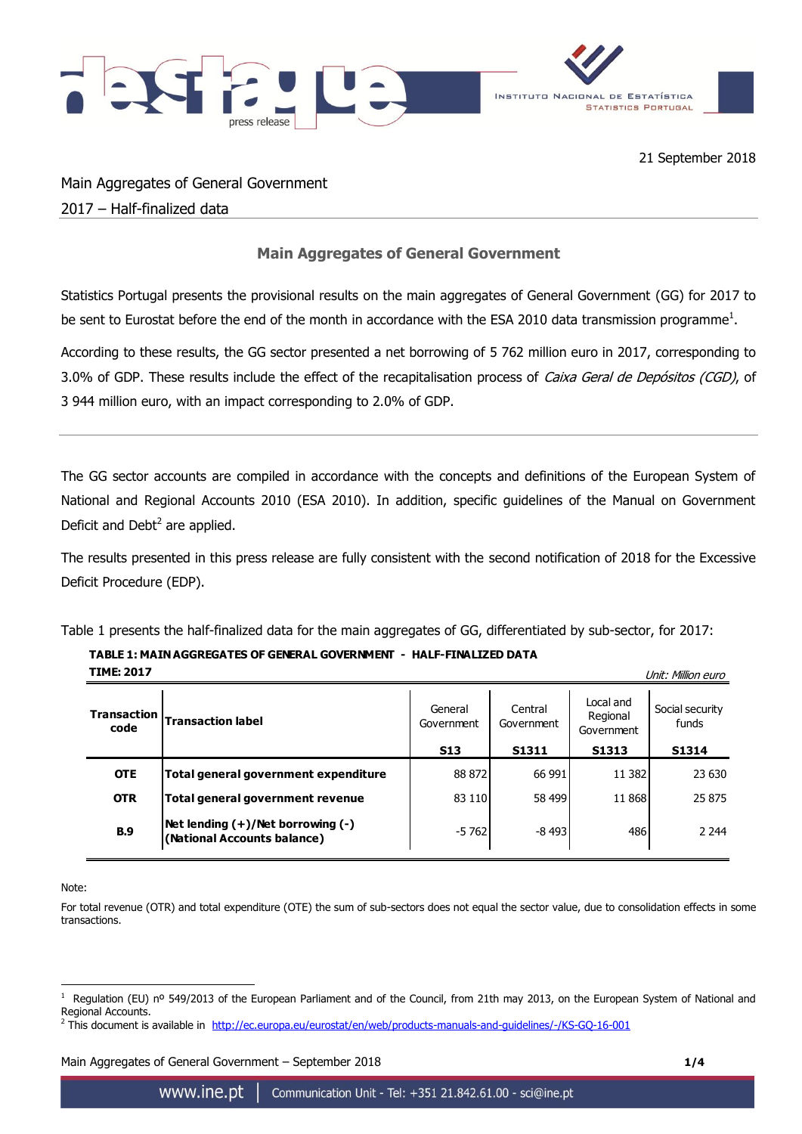

Main Aggregates of General Government 2017 – Half-finalized data

## **Main Aggregates of General Government**

Statistics Portugal presents the provisional results on the main aggregates of General Government (GG) for 2017 to be sent to Eurostat before the end of the month in accordance with the ESA 2010 data transmission programme<sup>1</sup>.

According to these results, the GG sector presented a net borrowing of 5 762 million euro in 2017, corresponding to 3.0% of GDP. These results include the effect of the recapitalisation process of Caixa Geral de Depósitos (CGD), of 3 944 million euro, with an impact corresponding to 2.0% of GDP.

The GG sector accounts are compiled in accordance with the concepts and definitions of the European System of National and Regional Accounts 2010 (ESA 2010). In addition, specific guidelines of the Manual on Government Deficit and Debt $^2$  are applied.

The results presented in this press release are fully consistent with the second notification of 2018 for the Excessive Deficit Procedure (EDP).

Table 1 presents the half-finalized data for the main aggregates of GG, differentiated by sub-sector, for 2017:

## **TABLE 1: MAIN AGGREGATES OF GENERAL GOVERNMENT - HALF-FINALIZED DATA**

| <b>TIME: 2017</b><br>Unit: Million euro |                                                                  |                       |                       |                                     |                          |
|-----------------------------------------|------------------------------------------------------------------|-----------------------|-----------------------|-------------------------------------|--------------------------|
| <b>Transaction</b><br>code              | <b>Transaction label</b>                                         | General<br>Government | Central<br>Government | Local and<br>Regional<br>Government | Social security<br>funds |
|                                         |                                                                  | <b>S13</b>            | S1311                 | S1313                               | S1314                    |
| <b>OTE</b>                              | Total general government expenditure                             | 88 872                | 66 991                | 11 3 82                             | 23 630                   |
| <b>OTR</b>                              | Total general government revenue                                 | 83 110                | 58 499                | 11 868                              | 25 875                   |
| <b>B.9</b>                              | Net lending (+)/Net borrowing (-)<br>(National Accounts balance) | $-5762$               | $-8493$               | 486                                 | 2 2 4 4                  |

Note:

For total revenue (OTR) and total expenditure (OTE) the sum of sub-sectors does not equal the sector value, due to consolidation effects in some transactions.

Main Aggregates of General Government – September 2018 **1/4**

<sup>1</sup> 1 Regulation (EU) nº 549/2013 of the European Parliament and of the Council, from 21th may 2013, on the European System of National and Regional Accounts.

<sup>2</sup> This document is available in <http://ec.europa.eu/eurostat/en/web/products-manuals-and-guidelines/-/KS-GQ-16-001>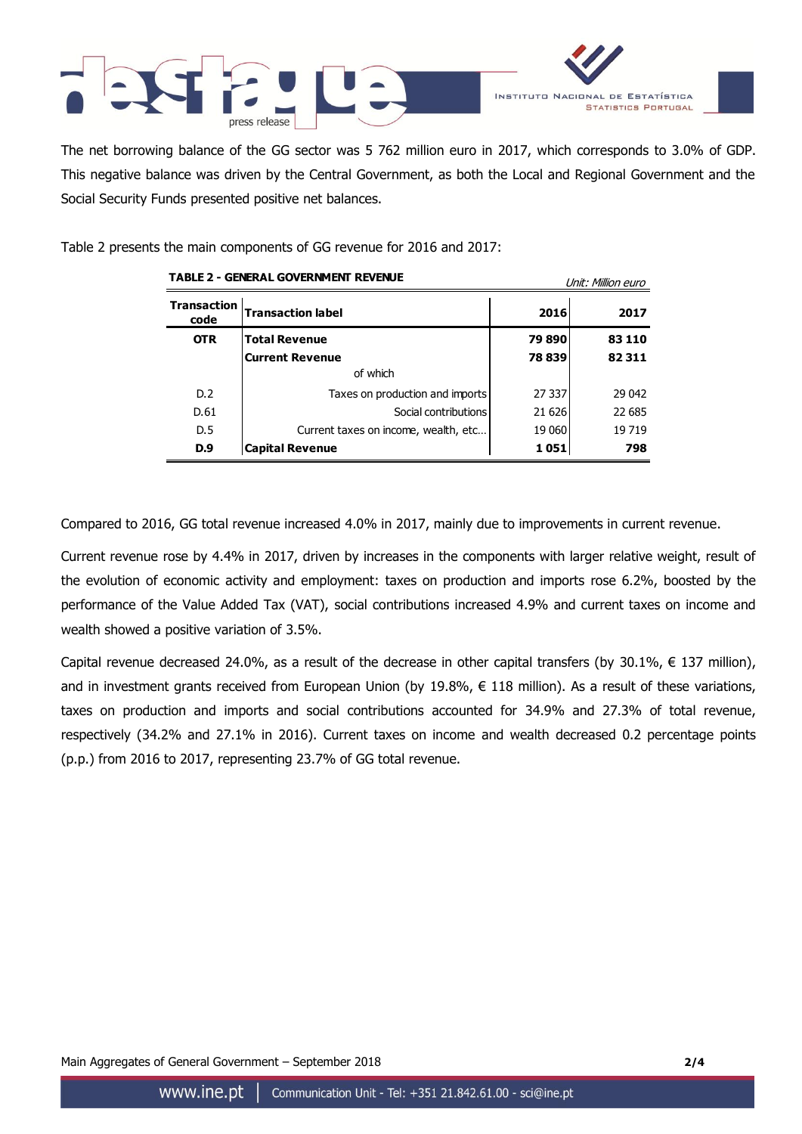



The net borrowing balance of the GG sector was 5 762 million euro in 2017, which corresponds to 3.0% of GDP. This negative balance was driven by the Central Government, as both the Local and Regional Government and the Social Security Funds presented positive net balances.

Table 2 presents the main components of GG revenue for 2016 and 2017:

| <b>TABLE 2 - GENERAL GOVERNMENT REVENUE</b> |                                      | Unit: Million euro |        |  |
|---------------------------------------------|--------------------------------------|--------------------|--------|--|
| <b>Transaction</b><br>code                  | <b>Transaction label</b>             | 2016               | 2017   |  |
| <b>OTR</b>                                  | <b>Total Revenue</b>                 | 79890              | 83 110 |  |
|                                             | <b>Current Revenue</b>               | 78 839             | 82311  |  |
|                                             | of which                             |                    |        |  |
| D.2                                         | Taxes on production and imports      | 27 337             | 29 042 |  |
| D.61                                        | Social contributions                 | 21 626             | 22 685 |  |
| D.5                                         | Current taxes on income, wealth, etc | 19 060             | 19719  |  |
| D.9                                         | <b>Capital Revenue</b>               | 1 051              | 798    |  |

Compared to 2016, GG total revenue increased 4.0% in 2017, mainly due to improvements in current revenue.

Current revenue rose by 4.4% in 2017, driven by increases in the components with larger relative weight, result of the evolution of economic activity and employment: taxes on production and imports rose 6.2%, boosted by the performance of the Value Added Tax (VAT), social contributions increased 4.9% and current taxes on income and wealth showed a positive variation of 3.5%.

Capital revenue decreased 24.0%, as a result of the decrease in other capital transfers (by 30.1%,  $\epsilon$  137 million), and in investment grants received from European Union (by 19.8%,  $\epsilon$  118 million). As a result of these variations, taxes on production and imports and social contributions accounted for 34.9% and 27.3% of total revenue, respectively (34.2% and 27.1% in 2016). Current taxes on income and wealth decreased 0.2 percentage points (p.p.) from 2016 to 2017, representing 23.7% of GG total revenue.

Main Aggregates of General Government – September 2018 **2/4**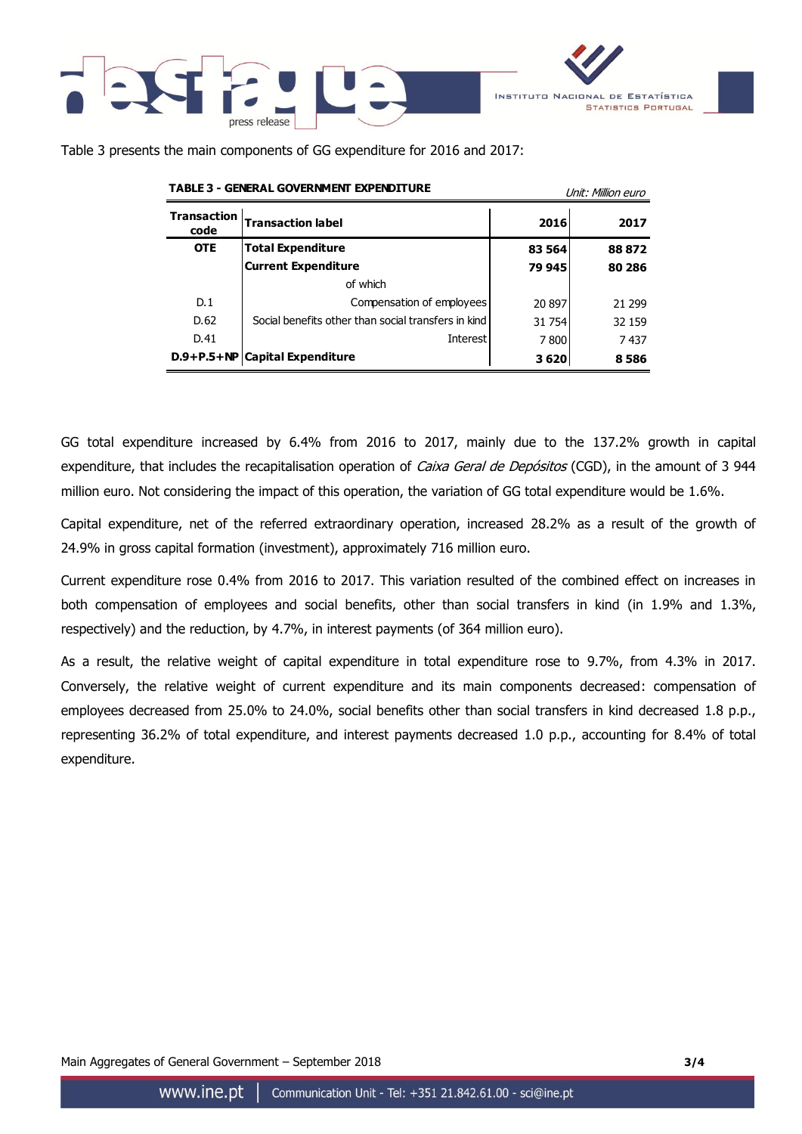



Table 3 presents the main components of GG expenditure for 2016 and 2017:

|                            | TABLE 3 - GENERAL GOVERNMENT EXPENDITURE            | Unit: Million euro |        |  |
|----------------------------|-----------------------------------------------------|--------------------|--------|--|
| <b>Transaction</b><br>code | <b>Transaction label</b>                            | 2016               | 2017   |  |
| <b>OTE</b>                 | <b>Total Expenditure</b>                            | 83 564             | 88872  |  |
|                            | <b>Current Expenditure</b>                          | 79 945             | 80 286 |  |
|                            | of which                                            |                    |        |  |
| D.1                        | Compensation of employees                           | 20 897             | 21 299 |  |
| D.62                       | Social benefits other than social transfers in kind | 31 754             | 32 159 |  |
| D.41                       | Interest                                            | 7800               | 7437   |  |
|                            | D.9+P.5+NP   Capital Expenditure                    | 3620               | 8586   |  |

GG total expenditure increased by 6.4% from 2016 to 2017, mainly due to the 137.2% growth in capital expenditure, that includes the recapitalisation operation of Caixa Geral de Depósitos (CGD), in the amount of 3 944 million euro. Not considering the impact of this operation, the variation of GG total expenditure would be 1.6%.

Capital expenditure, net of the referred extraordinary operation, increased 28.2% as a result of the growth of 24.9% in gross capital formation (investment), approximately 716 million euro.

Current expenditure rose 0.4% from 2016 to 2017. This variation resulted of the combined effect on increases in both compensation of employees and social benefits, other than social transfers in kind (in 1.9% and 1.3%, respectively) and the reduction, by 4.7%, in interest payments (of 364 million euro).

As a result, the relative weight of capital expenditure in total expenditure rose to 9.7%, from 4.3% in 2017. Conversely, the relative weight of current expenditure and its main components decreased: compensation of employees decreased from 25.0% to 24.0%, social benefits other than social transfers in kind decreased 1.8 p.p., representing 36.2% of total expenditure, and interest payments decreased 1.0 p.p., accounting for 8.4% of total expenditure.

Main Aggregates of General Government – September 2018 **3/4**